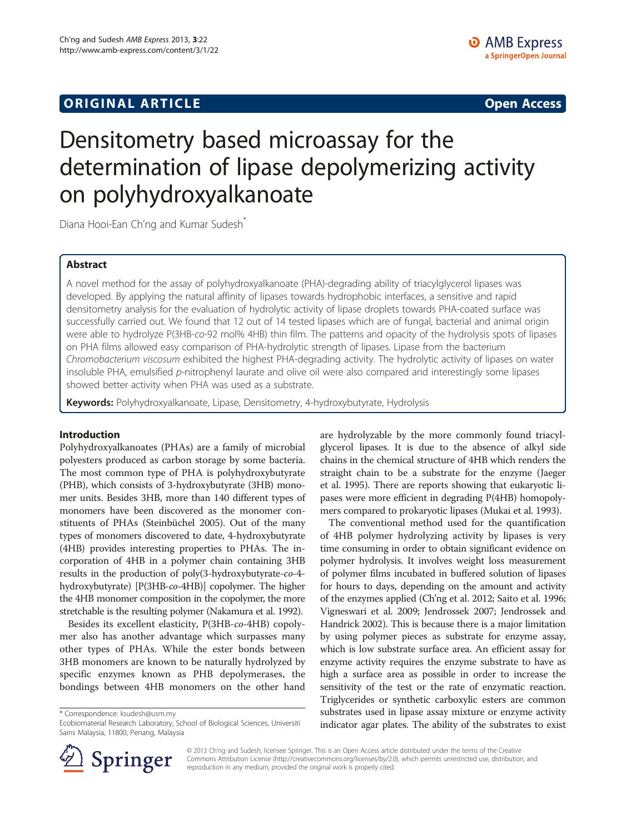## **ORIGINAL ARTICLE CONSERVANCE IN A LOCAL CONSERVANCE IN A LOCAL CONSERVANCE IN A LOCAL CONSERVANCE IN A LOCAL CONSERVANCE IN A LOCAL CONSERVANCE IN A LOCAL CONSERVANCE IN A LOCAL CONSERVANCE IN A LOCAL CONSERVANCE IN A L**

# Densitometry based microassay for the determination of lipase depolymerizing activity on polyhydroxyalkanoate

Diana Hooi-Ean Ch'ng and Kumar Sudesh<sup>\*</sup>

## Abstract

A novel method for the assay of polyhydroxyalkanoate (PHA)-degrading ability of triacylglycerol lipases was developed. By applying the natural affinity of lipases towards hydrophobic interfaces, a sensitive and rapid densitometry analysis for the evaluation of hydrolytic activity of lipase droplets towards PHA-coated surface was successfully carried out. We found that 12 out of 14 tested lipases which are of fungal, bacterial and animal origin were able to hydrolyze P(3HB-co-92 mol% 4HB) thin film. The patterns and opacity of the hydrolysis spots of lipases on PHA films allowed easy comparison of PHA-hydrolytic strength of lipases. Lipase from the bacterium Chromobacterium viscosum exhibited the highest PHA-degrading activity. The hydrolytic activity of lipases on water insoluble PHA, emulsified p-nitrophenyl laurate and olive oil were also compared and interestingly some lipases showed better activity when PHA was used as a substrate.

Keywords: Polyhydroxyalkanoate, Lipase, Densitometry, 4-hydroxybutyrate, Hydrolysis

## Introduction

Polyhydroxyalkanoates (PHAs) are a family of microbial polyesters produced as carbon storage by some bacteria. The most common type of PHA is polyhydroxybutyrate (PHB), which consists of 3-hydroxybutyrate (3HB) monomer units. Besides 3HB, more than 140 different types of monomers have been discovered as the monomer constituents of PHAs (Steinbüchel [2005](#page-10-0)). Out of the many types of monomers discovered to date, 4-hydroxybutyrate (4HB) provides interesting properties to PHAs. The incorporation of 4HB in a polymer chain containing 3HB results in the production of poly(3-hydroxybutyrate-co-4 hydroxybutyrate) [P(3HB-co-4HB)] copolymer. The higher the 4HB monomer composition in the copolymer, the more stretchable is the resulting polymer (Nakamura et al. [1992](#page-10-0)).

Besides its excellent elasticity, P(3HB-co-4HB) copolymer also has another advantage which surpasses many other types of PHAs. While the ester bonds between 3HB monomers are known to be naturally hydrolyzed by specific enzymes known as PHB depolymerases, the bondings between 4HB monomers on the other hand

\* Correspondence: [ksudesh@usm.my](mailto:ksudesh@usm.my)

are hydrolyzable by the more commonly found triacylglycerol lipases. It is due to the absence of alkyl side chains in the chemical structure of 4HB which renders the straight chain to be a substrate for the enzyme (Jaeger et al. [1995\)](#page-9-0). There are reports showing that eukaryotic lipases were more efficient in degrading P(4HB) homopolymers compared to prokaryotic lipases (Mukai et al. [1993](#page-10-0)).

The conventional method used for the quantification of 4HB polymer hydrolyzing activity by lipases is very time consuming in order to obtain significant evidence on polymer hydrolysis. It involves weight loss measurement of polymer films incubated in buffered solution of lipases for hours to days, depending on the amount and activity of the enzymes applied (Ch'ng et al. [2012;](#page-9-0) Saito et al. [1996](#page-10-0); Vigneswari et al. [2009](#page-10-0); Jendrossek [2007](#page-10-0); Jendrossek and Handrick [2002](#page-10-0)). This is because there is a major limitation by using polymer pieces as substrate for enzyme assay, which is low substrate surface area. An efficient assay for enzyme activity requires the enzyme substrate to have as high a surface area as possible in order to increase the sensitivity of the test or the rate of enzymatic reaction. Triglycerides or synthetic carboxylic esters are common substrates used in lipase assay mixture or enzyme activity indicator agar plates. The ability of the substrates to exist



© 2013 Ch'ng and Sudesh; licensee Springer. This is an Open Access article distributed under the terms of the Creative Commons Attribution License (<http://creativecommons.org/licenses/by/2.0>), which permits unrestricted use, distribution, and reproduction in any medium, provided the original work is properly cited.

Ecobiomaterial Research Laboratory, School of Biological Sciences, Universiti Sains Malaysia, 11800, Penang, Malaysia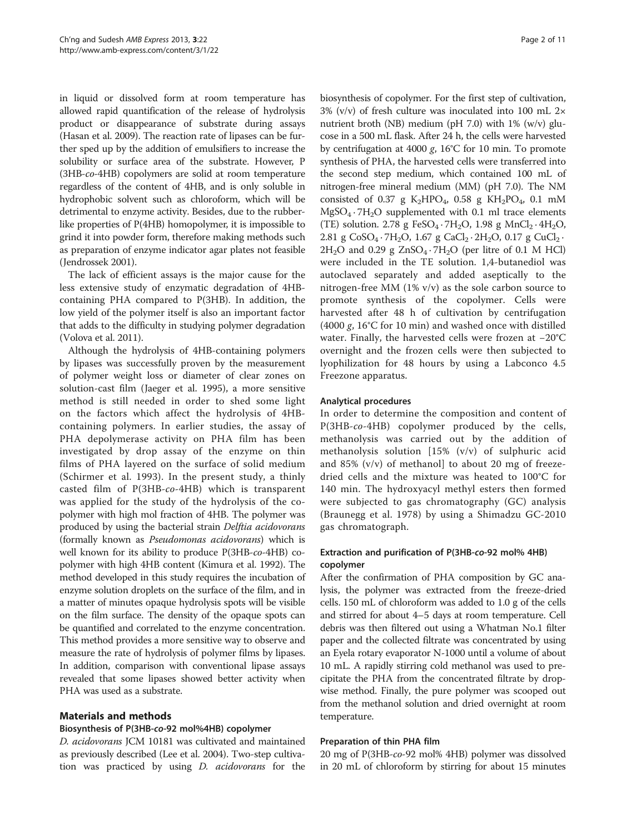<span id="page-1-0"></span>in liquid or dissolved form at room temperature has allowed rapid quantification of the release of hydrolysis product or disappearance of substrate during assays (Hasan et al. [2009](#page-9-0)). The reaction rate of lipases can be further sped up by the addition of emulsifiers to increase the solubility or surface area of the substrate. However, P (3HB-co-4HB) copolymers are solid at room temperature regardless of the content of 4HB, and is only soluble in hydrophobic solvent such as chloroform, which will be detrimental to enzyme activity. Besides, due to the rubberlike properties of P(4HB) homopolymer, it is impossible to grind it into powder form, therefore making methods such as preparation of enzyme indicator agar plates not feasible (Jendrossek [2001\)](#page-9-0).

The lack of efficient assays is the major cause for the less extensive study of enzymatic degradation of 4HBcontaining PHA compared to P(3HB). In addition, the low yield of the polymer itself is also an important factor that adds to the difficulty in studying polymer degradation (Volova et al. [2011](#page-10-0)).

Although the hydrolysis of 4HB-containing polymers by lipases was successfully proven by the measurement of polymer weight loss or diameter of clear zones on solution-cast film (Jaeger et al. [1995\)](#page-9-0), a more sensitive method is still needed in order to shed some light on the factors which affect the hydrolysis of 4HBcontaining polymers. In earlier studies, the assay of PHA depolymerase activity on PHA film has been investigated by drop assay of the enzyme on thin films of PHA layered on the surface of solid medium (Schirmer et al. [1993](#page-10-0)). In the present study, a thinly casted film of P(3HB-co-4HB) which is transparent was applied for the study of the hydrolysis of the copolymer with high mol fraction of 4HB. The polymer was produced by using the bacterial strain Delftia acidovorans (formally known as Pseudomonas acidovorans) which is well known for its ability to produce P(3HB-co-4HB) copolymer with high 4HB content (Kimura et al. [1992](#page-10-0)). The method developed in this study requires the incubation of enzyme solution droplets on the surface of the film, and in a matter of minutes opaque hydrolysis spots will be visible on the film surface. The density of the opaque spots can be quantified and correlated to the enzyme concentration. This method provides a more sensitive way to observe and measure the rate of hydrolysis of polymer films by lipases. In addition, comparison with conventional lipase assays revealed that some lipases showed better activity when PHA was used as a substrate.

## Materials and methods

## Biosynthesis of P(3HB-co-92 mol%4HB) copolymer

D. acidovorans JCM 10181 was cultivated and maintained as previously described (Lee et al. [2004](#page-10-0)). Two-step cultivation was practiced by using D. acidovorans for the

biosynthesis of copolymer. For the first step of cultivation, 3% (v/v) of fresh culture was inoculated into 100 mL 2× nutrient broth (NB) medium (pH 7.0) with 1% (w/v) glucose in a 500 mL flask. After 24 h, the cells were harvested by centrifugation at 4000 g,  $16^{\circ}$ C for 10 min. To promote synthesis of PHA, the harvested cells were transferred into the second step medium, which contained 100 mL of nitrogen-free mineral medium (MM) (pH 7.0). The NM consisted of 0.37 g K<sub>2</sub>HPO<sub>4</sub>, 0.58 g KH<sub>2</sub>PO<sub>4</sub>, 0.1 mM  $MgSO<sub>4</sub> \cdot 7H<sub>2</sub>O$  supplemented with 0.1 ml trace elements (TE) solution. 2.78 g FeSO<sub>4</sub> · 7H<sub>2</sub>O, 1.98 g MnCl<sub>2</sub> · 4H<sub>2</sub>O, 2.81 g  $CoSO_4 \cdot 7H_2O$ , 1.67 g  $CaCl_2 \cdot 2H_2O$ , 0.17 g  $CuCl_2 \cdot$  $2H_2O$  and 0.29 g  $ZnSO_4 \t·7H_2O$  (per litre of 0.1 M HCl) were included in the TE solution. 1,4-butanediol was autoclaved separately and added aseptically to the nitrogen-free MM (1% v/v) as the sole carbon source to promote synthesis of the copolymer. Cells were harvested after 48 h of cultivation by centrifugation (4000 g, 16°C for 10 min) and washed once with distilled water. Finally, the harvested cells were frozen at −20°C overnight and the frozen cells were then subjected to lyophilization for 48 hours by using a Labconco 4.5 Freezone apparatus.

## Analytical procedures

In order to determine the composition and content of P(3HB-co-4HB) copolymer produced by the cells, methanolysis was carried out by the addition of methanolysis solution [15% (v/v) of sulphuric acid and 85%  $(v/v)$  of methanoll to about 20 mg of freezedried cells and the mixture was heated to 100°C for 140 min. The hydroxyacyl methyl esters then formed were subjected to gas chromatography (GC) analysis (Braunegg et al. [1978\)](#page-9-0) by using a Shimadzu GC-2010 gas chromatograph.

## Extraction and purification of P(3HB-co-92 mol% 4HB) copolymer

After the confirmation of PHA composition by GC analysis, the polymer was extracted from the freeze-dried cells. 150 mL of chloroform was added to 1.0 g of the cells and stirred for about 4–5 days at room temperature. Cell debris was then filtered out using a Whatman No.1 filter paper and the collected filtrate was concentrated by using an Eyela rotary evaporator N-1000 until a volume of about 10 mL. A rapidly stirring cold methanol was used to precipitate the PHA from the concentrated filtrate by dropwise method. Finally, the pure polymer was scooped out from the methanol solution and dried overnight at room temperature.

## Preparation of thin PHA film

20 mg of P(3HB-co-92 mol% 4HB) polymer was dissolved in 20 mL of chloroform by stirring for about 15 minutes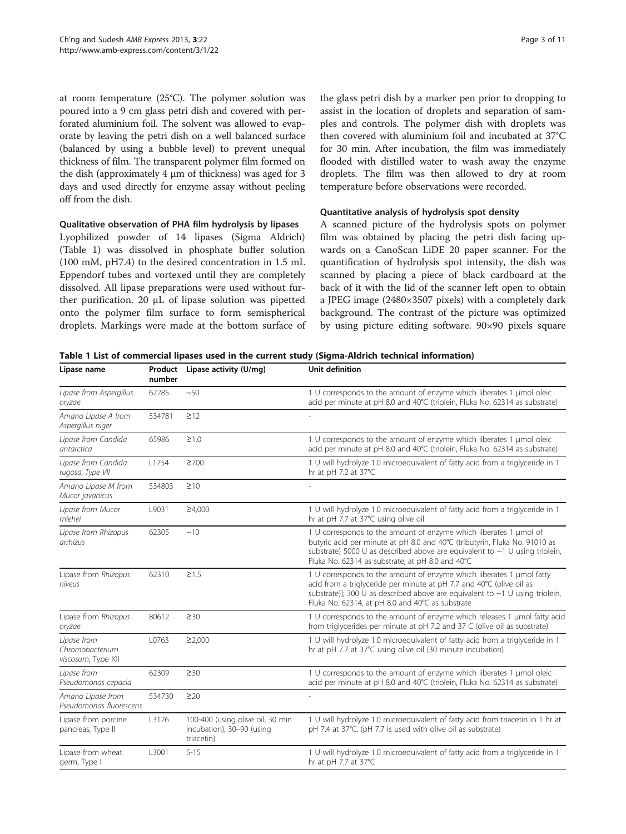at room temperature (25°C). The polymer solution was poured into a 9 cm glass petri dish and covered with perforated aluminium foil. The solvent was allowed to evaporate by leaving the petri dish on a well balanced surface (balanced by using a bubble level) to prevent unequal thickness of film. The transparent polymer film formed on the dish (approximately 4 μm of thickness) was aged for 3 days and used directly for enzyme assay without peeling off from the dish.

#### Qualitative observation of PHA film hydrolysis by lipases

Lyophilized powder of 14 lipases (Sigma Aldrich) (Table 1) was dissolved in phosphate buffer solution (100 mM, pH7.4) to the desired concentration in 1.5 mL Eppendorf tubes and vortexed until they are completely dissolved. All lipase preparations were used without further purification. 20 μL of lipase solution was pipetted onto the polymer film surface to form semispherical droplets. Markings were made at the bottom surface of

the glass petri dish by a marker pen prior to dropping to assist in the location of droplets and separation of samples and controls. The polymer dish with droplets was then covered with aluminium foil and incubated at 37°C for 30 min. After incubation, the film was immediately flooded with distilled water to wash away the enzyme droplets. The film was then allowed to dry at room temperature before observations were recorded.

## Quantitative analysis of hydrolysis spot density

A scanned picture of the hydrolysis spots on polymer film was obtained by placing the petri dish facing upwards on a CanoScan LiDE 20 paper scanner. For the quantification of hydrolysis spot intensity, the dish was scanned by placing a piece of black cardboard at the back of it with the lid of the scanner left open to obtain a JPEG image (2480×3507 pixels) with a completely dark background. The contrast of the picture was optimized by using picture editing software. 90×90 pixels square

| Lipase name                                          | number | Product Lipase activity (U/mg)                                              | Unit definition                                                                                                                                                                                                                                                                          |  |  |
|------------------------------------------------------|--------|-----------------------------------------------------------------------------|------------------------------------------------------------------------------------------------------------------------------------------------------------------------------------------------------------------------------------------------------------------------------------------|--|--|
| Lipase from Aspergillus<br>oryzae                    | 62285  | ~50                                                                         | 1 U corresponds to the amount of enzyme which liberates 1 µmol oleic<br>acid per minute at pH 8.0 and 40°C (triolein, Fluka No. 62314 as substrate)                                                                                                                                      |  |  |
| Amano Lipase A from<br>Aspergillus niger             | 534781 | $\geq$ 12                                                                   |                                                                                                                                                                                                                                                                                          |  |  |
| Lipase from Candida<br>antarctica                    | 65986  | $\geq$ 1.0                                                                  | 1 U corresponds to the amount of enzyme which liberates 1 µmol oleic<br>acid per minute at pH 8.0 and 40°C (triolein, Fluka No. 62314 as substrate)                                                                                                                                      |  |  |
| Lipase from Candida<br>rugosa, Type VII              | L1754  | $\geq 700$                                                                  | 1 U will hydrolyze 1.0 microequivalent of fatty acid from a triglyceride in 1<br>hr at pH 7.2 at 37°C                                                                                                                                                                                    |  |  |
| Amano Lipase M from<br>Mucor javanicus               | 534803 | $\geq 10$                                                                   |                                                                                                                                                                                                                                                                                          |  |  |
| Lipase from Mucor<br>miehei                          | L9031  | $\geq 4,000$                                                                | 1 U will hydrolyze 1.0 microequivalent of fatty acid from a triglyceride in 1<br>hr at pH 7.7 at 37°C using olive oil                                                                                                                                                                    |  |  |
| Lipase from Rhizopus<br>arrhizus                     | 62305  | ~10                                                                         | 1 U corresponds to the amount of enzyme which liberates 1 µmol of<br>butyric acid per minute at pH 8.0 and 40°C (tributyrin, Fluka No. 91010 as<br>substrate) 5000 U as described above are equivalent to $\sim$ 1 U using triolein,<br>Fluka No. 62314 as substrate, at pH 8.0 and 40°C |  |  |
| Lipase from Rhizopus<br>niveus                       | 62310  | $\geq$ 1.5                                                                  | 1 U corresponds to the amount of enzyme which liberates 1 umol fatty<br>acid from a triglyceride per minute at pH 7.7 and 40℃ (olive oil as<br>substrate)]; 300 U as described above are equivalent to $\sim$ 1 U using triolein,<br>Fluka No. 62314, at pH 8.0 and 40°C as substrate    |  |  |
| Lipase from Rhizopus<br>oryzae                       | 80612  | $\geq 30$                                                                   | 1 U corresponds to the amount of enzyme which releases 1 µmol fatty acid<br>from triglycerides per minute at pH 7.2 and 37 C (olive oil as substrate)                                                                                                                                    |  |  |
| Lipase from<br>Chromobacterium<br>viscosum, Type XII | L0763  | ≥2,000                                                                      | 1 U will hydrolyze 1.0 microequivalent of fatty acid from a triglyceride in 1<br>hr at pH 7.7 at 37°C using olive oil (30 minute incubation)                                                                                                                                             |  |  |
| Lipase from<br>Pseudomonas cepacia                   | 62309  | $\geq 30$                                                                   | 1 U corresponds to the amount of enzyme which liberates 1 µmol oleic<br>acid per minute at pH 8.0 and 40°C (triolein, Fluka No. 62314 as substrate)                                                                                                                                      |  |  |
| Amano Lipase from<br>Pseudomonas fluorescens         | 534730 | $\geq$ 20                                                                   |                                                                                                                                                                                                                                                                                          |  |  |
| Lipase from porcine<br>pancreas, Type II             | L3126  | 100-400 (using olive oil, 30 min<br>incubation), 30-90 (using<br>triacetin) | 1 U will hydrolyze 1.0 microequivalent of fatty acid from triacetin in 1 hr at<br>pH 7.4 at 37°C. (pH 7.7 is used with olive oil as substrate)                                                                                                                                           |  |  |
| Lipase from wheat<br>germ, Type I                    | L3001  | $5 - 15$                                                                    | 1 U will hydrolyze 1.0 microequivalent of fatty acid from a triglyceride in 1<br>hr at pH 7.7 at 37°C                                                                                                                                                                                    |  |  |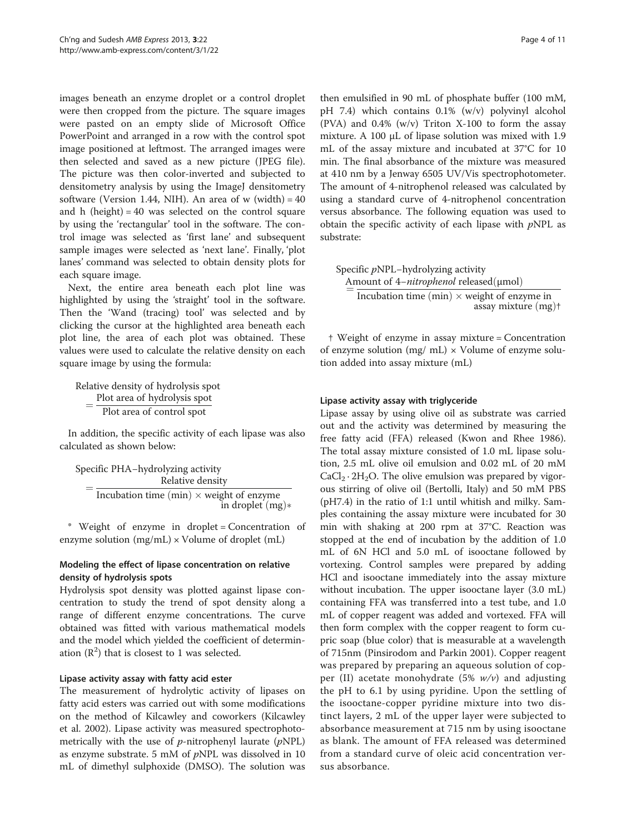images beneath an enzyme droplet or a control droplet were then cropped from the picture. The square images were pasted on an empty slide of Microsoft Office PowerPoint and arranged in a row with the control spot image positioned at leftmost. The arranged images were then selected and saved as a new picture (JPEG file). The picture was then color-inverted and subjected to densitometry analysis by using the ImageJ densitometry software (Version 1.44, NIH). An area of w (width) =  $40$ and h (height) =  $40$  was selected on the control square by using the 'rectangular' tool in the software. The control image was selected as 'first lane' and subsequent sample images were selected as 'next lane'. Finally, 'plot lanes' command was selected to obtain density plots for each square image.

Next, the entire area beneath each plot line was highlighted by using the 'straight' tool in the software. Then the 'Wand (tracing) tool' was selected and by clicking the cursor at the highlighted area beneath each plot line, the area of each plot was obtained. These values were used to calculate the relative density on each square image by using the formula:

Relative density of hydrolysis spot =  $\frac{\text{Plot area of hydrolysis spot}}{\text{Plot area of control spot}}$ 

In addition, the specific activity of each lipase was also calculated as shown below:

Specific PHA−hydrolyzing activity  $=\frac{\text{Relative density}}{\text{Incubation time (min)} \times \text{weight of enzyme}}$ in droplet  $(mg)$ 

\* Weight of enzyme in droplet = Concentration of enzyme solution  $(mg/mL) \times Volume$  of droplet  $(mL)$ 

## Modeling the effect of lipase concentration on relative density of hydrolysis spots

Hydrolysis spot density was plotted against lipase concentration to study the trend of spot density along a range of different enzyme concentrations. The curve obtained was fitted with various mathematical models and the model which yielded the coefficient of determination  $(R^2)$  that is closest to 1 was selected.

## Lipase activity assay with fatty acid ester

The measurement of hydrolytic activity of lipases on fatty acid esters was carried out with some modifications on the method of Kilcawley and coworkers (Kilcawley et al. [2002](#page-10-0)). Lipase activity was measured spectrophotometrically with the use of  $p$ -nitrophenyl laurate ( $pNPL$ ) as enzyme substrate. 5 mM of  $pNPL$  was dissolved in 10 mL of dimethyl sulphoxide (DMSO). The solution was

then emulsified in 90 mL of phosphate buffer (100 mM, pH 7.4) which contains 0.1% (w/v) polyvinyl alcohol (PVA) and 0.4% (w/v) Triton X-100 to form the assay mixture. A 100 μL of lipase solution was mixed with 1.9 mL of the assay mixture and incubated at 37°C for 10 min. The final absorbance of the mixture was measured at 410 nm by a Jenway 6505 UV/Vis spectrophotometer. The amount of 4-nitrophenol released was calculated by using a standard curve of 4-nitrophenol concentration versus absorbance. The following equation was used to obtain the specific activity of each lipase with  $pNPL$  as substrate:

Specific pNPL−hydrolyzing activity  $\equiv$ Amount of 4-*nitrophenol* released(μmol) Incubation time (min)  $\times$  weight of enzyme in assay mixture  $(mg)$ †

† Weight of enzyme in assay mixture = Concentration of enzyme solution (mg/ mL)  $\times$  Volume of enzyme solution added into assay mixture (mL)

## Lipase activity assay with triglyceride

Lipase assay by using olive oil as substrate was carried out and the activity was determined by measuring the free fatty acid (FFA) released (Kwon and Rhee [1986](#page-10-0)). The total assay mixture consisted of 1.0 mL lipase solution, 2.5 mL olive oil emulsion and 0.02 mL of 20 mM  $CaCl<sub>2</sub> \cdot 2H<sub>2</sub>O$ . The olive emulsion was prepared by vigorous stirring of olive oil (Bertolli, Italy) and 50 mM PBS (pH7.4) in the ratio of 1:1 until whitish and milky. Samples containing the assay mixture were incubated for 30 min with shaking at 200 rpm at 37°C. Reaction was stopped at the end of incubation by the addition of 1.0 mL of 6N HCl and 5.0 mL of isooctane followed by vortexing. Control samples were prepared by adding HCl and isooctane immediately into the assay mixture without incubation. The upper isooctane layer (3.0 mL) containing FFA was transferred into a test tube, and 1.0 mL of copper reagent was added and vortexed. FFA will then form complex with the copper reagent to form cupric soap (blue color) that is measurable at a wavelength of 715nm (Pinsirodom and Parkin [2001](#page-10-0)). Copper reagent was prepared by preparing an aqueous solution of copper (II) acetate monohydrate (5%  $w/v$ ) and adjusting the pH to 6.1 by using pyridine. Upon the settling of the isooctane-copper pyridine mixture into two distinct layers, 2 mL of the upper layer were subjected to absorbance measurement at 715 nm by using isooctane as blank. The amount of FFA released was determined from a standard curve of oleic acid concentration versus absorbance.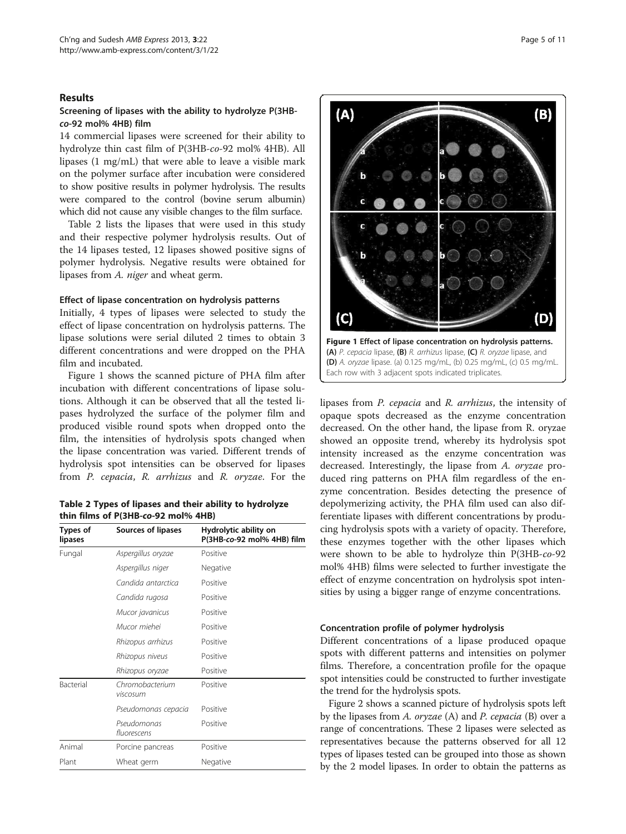#### <span id="page-4-0"></span>Results

## Screening of lipases with the ability to hydrolyze P(3HBco-92 mol% 4HB) film

14 commercial lipases were screened for their ability to hydrolyze thin cast film of P(3HB-co-92 mol% 4HB). All lipases (1 mg/mL) that were able to leave a visible mark on the polymer surface after incubation were considered to show positive results in polymer hydrolysis. The results were compared to the control (bovine serum albumin) which did not cause any visible changes to the film surface.

Table 2 lists the lipases that were used in this study and their respective polymer hydrolysis results. Out of the 14 lipases tested, 12 lipases showed positive signs of polymer hydrolysis. Negative results were obtained for lipases from A. niger and wheat germ.

#### Effect of lipase concentration on hydrolysis patterns

Initially, 4 types of lipases were selected to study the effect of lipase concentration on hydrolysis patterns. The lipase solutions were serial diluted 2 times to obtain 3 different concentrations and were dropped on the PHA film and incubated.

Figure 1 shows the scanned picture of PHA film after incubation with different concentrations of lipase solutions. Although it can be observed that all the tested lipases hydrolyzed the surface of the polymer film and produced visible round spots when dropped onto the film, the intensities of hydrolysis spots changed when the lipase concentration was varied. Different trends of hydrolysis spot intensities can be observed for lipases from P. cepacia, R. arrhizus and R. oryzae. For the

Table 2 Types of lipases and their ability to hydrolyze thin films of P(3HB-co-92 mol% 4HB)

| Types of<br>lipases | Sources of lipases          | Hydrolytic ability on<br>P(3HB-co-92 mol% 4HB) film |  |  |  |
|---------------------|-----------------------------|-----------------------------------------------------|--|--|--|
| Fungal              | Aspergillus oryzae          | Positive                                            |  |  |  |
|                     | Aspergillus niger           | Negative                                            |  |  |  |
|                     | Candida antarctica          | Positive                                            |  |  |  |
|                     | Candida rugosa              | Positive                                            |  |  |  |
|                     | Mucor javanicus             | Positive                                            |  |  |  |
|                     | Mucor miehei                | Positive                                            |  |  |  |
|                     | Rhizopus arrhizus           | Positive                                            |  |  |  |
|                     | Rhizopus niveus             | Positive                                            |  |  |  |
|                     | Rhizopus oryzae             | Positive                                            |  |  |  |
| Bacterial           | Chromobacterium<br>viscosum | Positive                                            |  |  |  |
|                     | Pseudomonas cepacia         | Positive                                            |  |  |  |
|                     | Pseudomonas<br>fluorescens  | Positive                                            |  |  |  |
| Animal              | Porcine pancreas            | Positive                                            |  |  |  |
| Plant               | Wheat germ                  | Negative                                            |  |  |  |



lipases from P. cepacia and R. arrhizus, the intensity of opaque spots decreased as the enzyme concentration decreased. On the other hand, the lipase from R. oryzae showed an opposite trend, whereby its hydrolysis spot intensity increased as the enzyme concentration was decreased. Interestingly, the lipase from A. oryzae produced ring patterns on PHA film regardless of the enzyme concentration. Besides detecting the presence of depolymerizing activity, the PHA film used can also differentiate lipases with different concentrations by producing hydrolysis spots with a variety of opacity. Therefore, these enzymes together with the other lipases which were shown to be able to hydrolyze thin P(3HB-co-92 mol% 4HB) films were selected to further investigate the effect of enzyme concentration on hydrolysis spot intensities by using a bigger range of enzyme concentrations.

#### Concentration profile of polymer hydrolysis

Different concentrations of a lipase produced opaque spots with different patterns and intensities on polymer films. Therefore, a concentration profile for the opaque spot intensities could be constructed to further investigate the trend for the hydrolysis spots.

Figure [2](#page-5-0) shows a scanned picture of hydrolysis spots left by the lipases from A. oryzae (A) and P. cepacia (B) over a range of concentrations. These 2 lipases were selected as representatives because the patterns observed for all 12 types of lipases tested can be grouped into those as shown by the 2 model lipases. In order to obtain the patterns as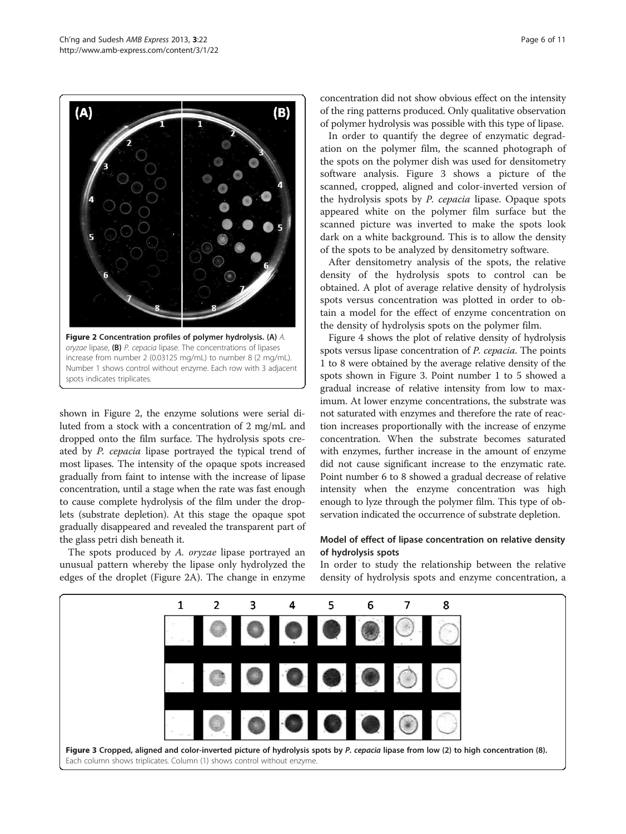<span id="page-5-0"></span>

increase from number 2 (0.03125 mg/mL) to number 8 (2 mg/mL). Number 1 shows control without enzyme. Each row with 3 adjacent spots indicates triplicates.

shown in Figure 2, the enzyme solutions were serial diluted from a stock with a concentration of 2 mg/mL and dropped onto the film surface. The hydrolysis spots created by P. cepacia lipase portrayed the typical trend of most lipases. The intensity of the opaque spots increased gradually from faint to intense with the increase of lipase concentration, until a stage when the rate was fast enough to cause complete hydrolysis of the film under the droplets (substrate depletion). At this stage the opaque spot gradually disappeared and revealed the transparent part of the glass petri dish beneath it.

The spots produced by A. oryzae lipase portrayed an unusual pattern whereby the lipase only hydrolyzed the edges of the droplet (Figure 2A). The change in enzyme concentration did not show obvious effect on the intensity of the ring patterns produced. Only qualitative observation of polymer hydrolysis was possible with this type of lipase.

In order to quantify the degree of enzymatic degradation on the polymer film, the scanned photograph of the spots on the polymer dish was used for densitometry software analysis. Figure 3 shows a picture of the scanned, cropped, aligned and color-inverted version of the hydrolysis spots by P. cepacia lipase. Opaque spots appeared white on the polymer film surface but the scanned picture was inverted to make the spots look dark on a white background. This is to allow the density of the spots to be analyzed by densitometry software.

After densitometry analysis of the spots, the relative density of the hydrolysis spots to control can be obtained. A plot of average relative density of hydrolysis spots versus concentration was plotted in order to obtain a model for the effect of enzyme concentration on the density of hydrolysis spots on the polymer film.

Figure [4](#page-6-0) shows the plot of relative density of hydrolysis spots versus lipase concentration of P. cepacia. The points 1 to 8 were obtained by the average relative density of the spots shown in Figure 3. Point number 1 to 5 showed a gradual increase of relative intensity from low to maximum. At lower enzyme concentrations, the substrate was not saturated with enzymes and therefore the rate of reaction increases proportionally with the increase of enzyme concentration. When the substrate becomes saturated with enzymes, further increase in the amount of enzyme did not cause significant increase to the enzymatic rate. Point number 6 to 8 showed a gradual decrease of relative intensity when the enzyme concentration was high enough to lyze through the polymer film. This type of observation indicated the occurrence of substrate depletion.

## Model of effect of lipase concentration on relative density of hydrolysis spots

In order to study the relationship between the relative density of hydrolysis spots and enzyme concentration, a

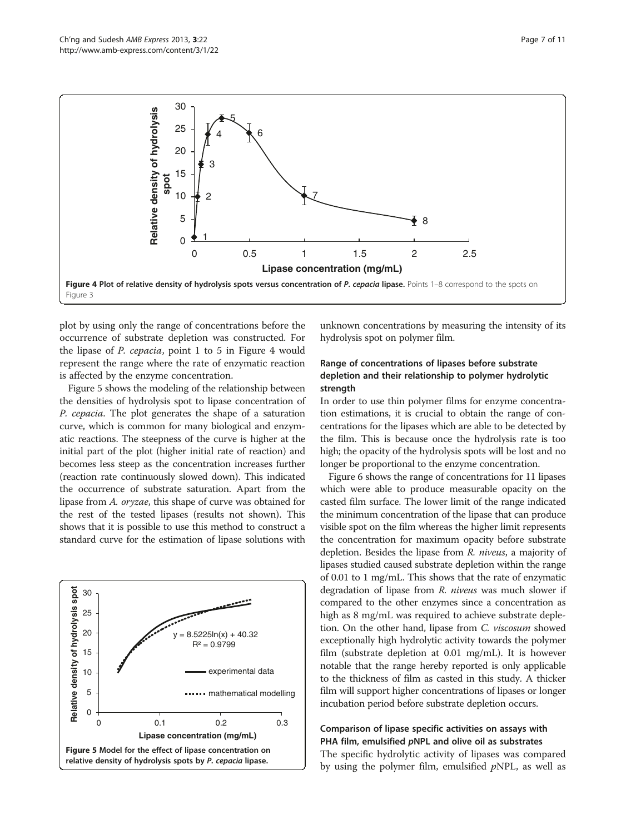<span id="page-6-0"></span>

plot by using only the range of concentrations before the occurrence of substrate depletion was constructed. For the lipase of P. cepacia, point 1 to 5 in Figure 4 would represent the range where the rate of enzymatic reaction is affected by the enzyme concentration.

Figure 5 shows the modeling of the relationship between the densities of hydrolysis spot to lipase concentration of P. cepacia. The plot generates the shape of a saturation curve, which is common for many biological and enzymatic reactions. The steepness of the curve is higher at the initial part of the plot (higher initial rate of reaction) and becomes less steep as the concentration increases further (reaction rate continuously slowed down). This indicated the occurrence of substrate saturation. Apart from the lipase from A. oryzae, this shape of curve was obtained for the rest of the tested lipases (results not shown). This shows that it is possible to use this method to construct a standard curve for the estimation of lipase solutions with



unknown concentrations by measuring the intensity of its hydrolysis spot on polymer film.

## Range of concentrations of lipases before substrate depletion and their relationship to polymer hydrolytic strength

In order to use thin polymer films for enzyme concentration estimations, it is crucial to obtain the range of concentrations for the lipases which are able to be detected by the film. This is because once the hydrolysis rate is too high; the opacity of the hydrolysis spots will be lost and no longer be proportional to the enzyme concentration.

Figure [6](#page-7-0) shows the range of concentrations for 11 lipases which were able to produce measurable opacity on the casted film surface. The lower limit of the range indicated the minimum concentration of the lipase that can produce visible spot on the film whereas the higher limit represents the concentration for maximum opacity before substrate depletion. Besides the lipase from R. niveus, a majority of lipases studied caused substrate depletion within the range of 0.01 to 1 mg/mL. This shows that the rate of enzymatic degradation of lipase from *R. niveus* was much slower if compared to the other enzymes since a concentration as high as 8 mg/mL was required to achieve substrate depletion. On the other hand, lipase from C. viscosum showed exceptionally high hydrolytic activity towards the polymer film (substrate depletion at 0.01 mg/mL). It is however notable that the range hereby reported is only applicable to the thickness of film as casted in this study. A thicker film will support higher concentrations of lipases or longer incubation period before substrate depletion occurs.

## Comparison of lipase specific activities on assays with PHA film, emulsified pNPL and olive oil as substrates

The specific hydrolytic activity of lipases was compared by using the polymer film, emulsified  $pNPL$ , as well as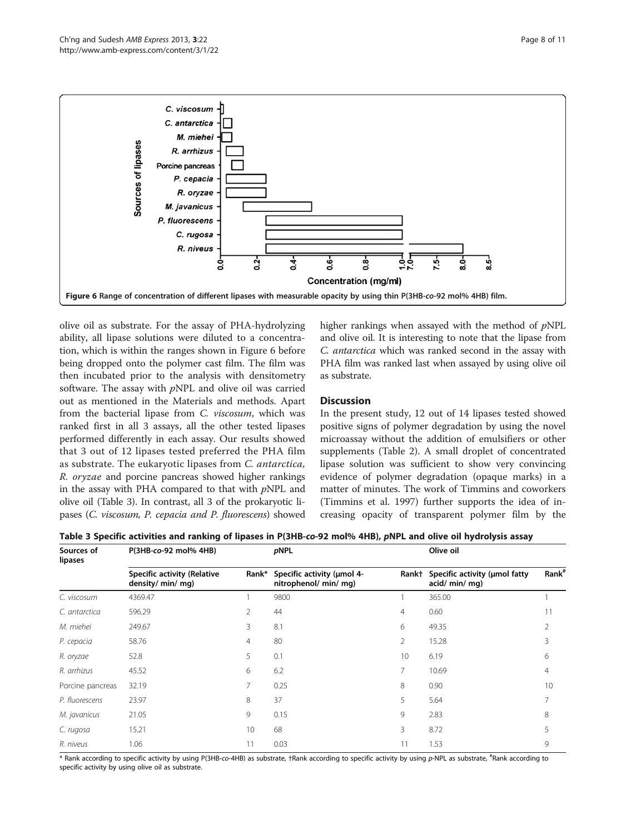<span id="page-7-0"></span>

olive oil as substrate. For the assay of PHA-hydrolyzing ability, all lipase solutions were diluted to a concentration, which is within the ranges shown in Figure 6 before being dropped onto the polymer cast film. The film was then incubated prior to the analysis with densitometry software. The assay with  $pNPL$  and olive oil was carried out as mentioned in the [Materials and methods.](#page-1-0) Apart from the bacterial lipase from C. viscosum, which was ranked first in all 3 assays, all the other tested lipases performed differently in each assay. Our results showed that 3 out of 12 lipases tested preferred the PHA film as substrate. The eukaryotic lipases from C. antarctica, R. oryzae and porcine pancreas showed higher rankings in the assay with PHA compared to that with  $pNPL$  and olive oil (Table 3). In contrast, all 3 of the prokaryotic lipases (C. viscosum, P. cepacia and P. fluorescens) showed higher rankings when assayed with the method of pNPL and olive oil. It is interesting to note that the lipase from C. antarctica which was ranked second in the assay with PHA film was ranked last when assayed by using olive oil as substrate.

## **Discussion**

In the present study, 12 out of 14 lipases tested showed positive signs of polymer degradation by using the novel microassay without the addition of emulsifiers or other supplements (Table [2](#page-4-0)). A small droplet of concentrated lipase solution was sufficient to show very convincing evidence of polymer degradation (opaque marks) in a matter of minutes. The work of Timmins and coworkers (Timmins et al. [1997](#page-10-0)) further supports the idea of increasing opacity of transparent polymer film by the

Table 3 Specific activities and ranking of lipases in P(3HB-co-92 mol% 4HB), pNPL and olive oil hydrolysis assay

| Sources of<br>lipases | P(3HB-co-92 mol% 4HB)                                   |       | pNPL                                                |                | Olive oil                                       |                   |
|-----------------------|---------------------------------------------------------|-------|-----------------------------------------------------|----------------|-------------------------------------------------|-------------------|
|                       | <b>Specific activity (Relative</b><br>density/ min/ mg) | Rank* | Specific activity (umol 4-<br>nitrophenol/ min/ mg) | Rank†          | Specific activity (umol fatty<br>acid/ min/ mg) | Rank <sup>#</sup> |
| C. viscosum           | 4369.47                                                 |       | 9800                                                |                | 365.00                                          |                   |
| C. antarctica         | 596.29                                                  | 2     | 44                                                  | $\overline{4}$ | 0.60                                            |                   |
| M. miehei             | 249.67                                                  | 3     | 8.1                                                 | 6              | 49.35                                           |                   |
| P. cepacia            | 58.76                                                   | 4     | 80                                                  | 2              | 15.28                                           |                   |
| R. oryzae             | 52.8                                                    | 5     | 0.1                                                 | 10             | 6.19                                            | 6                 |
| R. arrhizus           | 45.52                                                   | 6     | 6.2                                                 |                | 10.69                                           | 4                 |
| Porcine pancreas      | 32.19                                                   | 7     | 0.25                                                | 8              | 0.90                                            | 10                |
| P. fluorescens        | 23.97                                                   | 8     | 37                                                  | 5              | 5.64                                            |                   |
| M. javanicus          | 21.05                                                   | 9     | 0.15                                                | 9              | 2.83                                            | 8                 |
| C. rugosa             | 15.21                                                   | 10    | 68                                                  | 3              | 8.72                                            |                   |
| R. niveus             | 1.06                                                    | 11    | 0.03                                                |                | 1.53                                            | 9                 |

\* Rank according to specific activity by using P(3HB-co-4HB) as substrate, †Rank according to specific activity by using p-NPL as substrate, # Rank according to specific activity by using olive oil as substrate.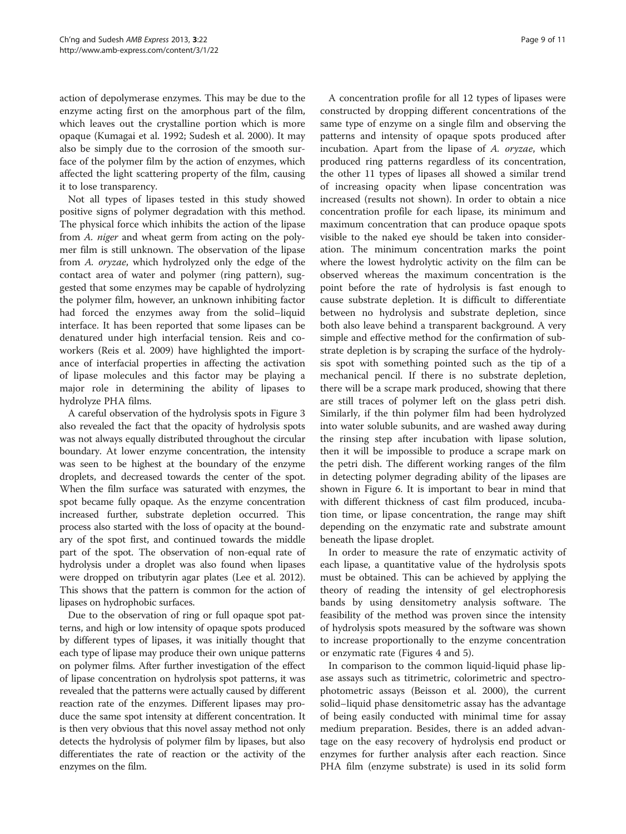action of depolymerase enzymes. This may be due to the enzyme acting first on the amorphous part of the film, which leaves out the crystalline portion which is more opaque (Kumagai et al. [1992;](#page-10-0) Sudesh et al. [2000](#page-10-0)). It may also be simply due to the corrosion of the smooth surface of the polymer film by the action of enzymes, which affected the light scattering property of the film, causing it to lose transparency.

Not all types of lipases tested in this study showed positive signs of polymer degradation with this method. The physical force which inhibits the action of the lipase from A. niger and wheat germ from acting on the polymer film is still unknown. The observation of the lipase from A. oryzae, which hydrolyzed only the edge of the contact area of water and polymer (ring pattern), suggested that some enzymes may be capable of hydrolyzing the polymer film, however, an unknown inhibiting factor had forced the enzymes away from the solid–liquid interface. It has been reported that some lipases can be denatured under high interfacial tension. Reis and coworkers (Reis et al. [2009](#page-10-0)) have highlighted the importance of interfacial properties in affecting the activation of lipase molecules and this factor may be playing a major role in determining the ability of lipases to hydrolyze PHA films.

A careful observation of the hydrolysis spots in Figure [3](#page-5-0) also revealed the fact that the opacity of hydrolysis spots was not always equally distributed throughout the circular boundary. At lower enzyme concentration, the intensity was seen to be highest at the boundary of the enzyme droplets, and decreased towards the center of the spot. When the film surface was saturated with enzymes, the spot became fully opaque. As the enzyme concentration increased further, substrate depletion occurred. This process also started with the loss of opacity at the boundary of the spot first, and continued towards the middle part of the spot. The observation of non-equal rate of hydrolysis under a droplet was also found when lipases were dropped on tributyrin agar plates (Lee et al. [2012](#page-10-0)). This shows that the pattern is common for the action of lipases on hydrophobic surfaces.

Due to the observation of ring or full opaque spot patterns, and high or low intensity of opaque spots produced by different types of lipases, it was initially thought that each type of lipase may produce their own unique patterns on polymer films. After further investigation of the effect of lipase concentration on hydrolysis spot patterns, it was revealed that the patterns were actually caused by different reaction rate of the enzymes. Different lipases may produce the same spot intensity at different concentration. It is then very obvious that this novel assay method not only detects the hydrolysis of polymer film by lipases, but also differentiates the rate of reaction or the activity of the enzymes on the film.

A concentration profile for all 12 types of lipases were constructed by dropping different concentrations of the same type of enzyme on a single film and observing the patterns and intensity of opaque spots produced after incubation. Apart from the lipase of A. oryzae, which produced ring patterns regardless of its concentration, the other 11 types of lipases all showed a similar trend of increasing opacity when lipase concentration was increased (results not shown). In order to obtain a nice concentration profile for each lipase, its minimum and maximum concentration that can produce opaque spots visible to the naked eye should be taken into consideration. The minimum concentration marks the point where the lowest hydrolytic activity on the film can be observed whereas the maximum concentration is the point before the rate of hydrolysis is fast enough to cause substrate depletion. It is difficult to differentiate between no hydrolysis and substrate depletion, since both also leave behind a transparent background. A very simple and effective method for the confirmation of substrate depletion is by scraping the surface of the hydrolysis spot with something pointed such as the tip of a mechanical pencil. If there is no substrate depletion, there will be a scrape mark produced, showing that there are still traces of polymer left on the glass petri dish. Similarly, if the thin polymer film had been hydrolyzed into water soluble subunits, and are washed away during the rinsing step after incubation with lipase solution, then it will be impossible to produce a scrape mark on the petri dish. The different working ranges of the film in detecting polymer degrading ability of the lipases are shown in Figure [6](#page-7-0). It is important to bear in mind that with different thickness of cast film produced, incubation time, or lipase concentration, the range may shift depending on the enzymatic rate and substrate amount beneath the lipase droplet.

In order to measure the rate of enzymatic activity of each lipase, a quantitative value of the hydrolysis spots must be obtained. This can be achieved by applying the theory of reading the intensity of gel electrophoresis bands by using densitometry analysis software. The feasibility of the method was proven since the intensity of hydrolysis spots measured by the software was shown to increase proportionally to the enzyme concentration or enzymatic rate (Figures [4](#page-6-0) and [5\)](#page-6-0).

In comparison to the common liquid-liquid phase lipase assays such as titrimetric, colorimetric and spectrophotometric assays (Beisson et al. [2000\)](#page-9-0), the current solid–liquid phase densitometric assay has the advantage of being easily conducted with minimal time for assay medium preparation. Besides, there is an added advantage on the easy recovery of hydrolysis end product or enzymes for further analysis after each reaction. Since PHA film (enzyme substrate) is used in its solid form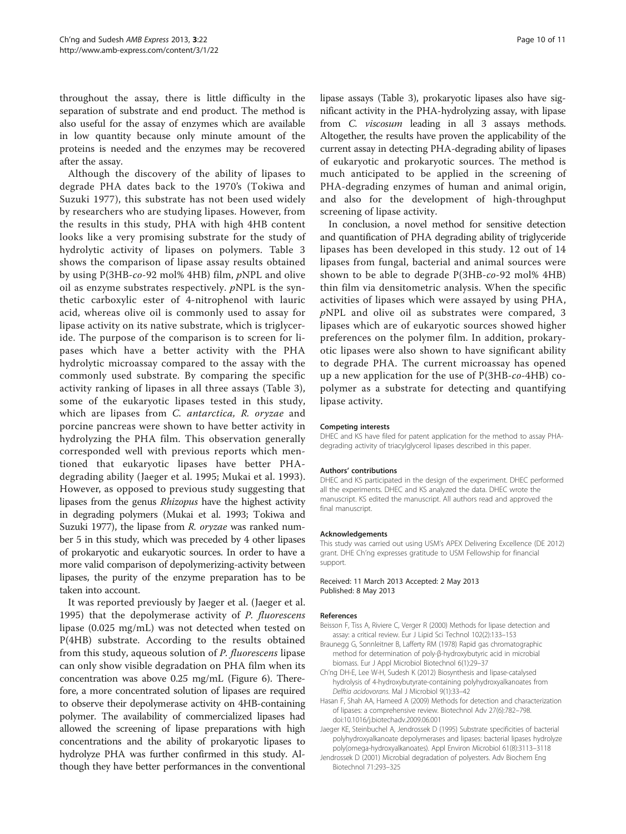<span id="page-9-0"></span>throughout the assay, there is little difficulty in the separation of substrate and end product. The method is also useful for the assay of enzymes which are available in low quantity because only minute amount of the proteins is needed and the enzymes may be recovered after the assay.

Although the discovery of the ability of lipases to degrade PHA dates back to the 1970's (Tokiwa and Suzuki [1977](#page-10-0)), this substrate has not been used widely by researchers who are studying lipases. However, from the results in this study, PHA with high 4HB content looks like a very promising substrate for the study of hydrolytic activity of lipases on polymers. Table [3](#page-7-0) shows the comparison of lipase assay results obtained by using P(3HB-co-92 mol% 4HB) film, pNPL and olive oil as enzyme substrates respectively. pNPL is the synthetic carboxylic ester of 4-nitrophenol with lauric acid, whereas olive oil is commonly used to assay for lipase activity on its native substrate, which is triglyceride. The purpose of the comparison is to screen for lipases which have a better activity with the PHA hydrolytic microassay compared to the assay with the commonly used substrate. By comparing the specific activity ranking of lipases in all three assays (Table [3](#page-7-0)), some of the eukaryotic lipases tested in this study, which are lipases from C. antarctica, R. oryzae and porcine pancreas were shown to have better activity in hydrolyzing the PHA film. This observation generally corresponded well with previous reports which mentioned that eukaryotic lipases have better PHAdegrading ability (Jaeger et al. 1995; Mukai et al. [1993](#page-10-0)). However, as opposed to previous study suggesting that lipases from the genus Rhizopus have the highest activity in degrading polymers (Mukai et al. [1993](#page-10-0); Tokiwa and Suzuki [1977](#page-10-0)), the lipase from R. oryzae was ranked number 5 in this study, which was preceded by 4 other lipases of prokaryotic and eukaryotic sources. In order to have a more valid comparison of depolymerizing-activity between lipases, the purity of the enzyme preparation has to be taken into account.

It was reported previously by Jaeger et al. (Jaeger et al. 1995) that the depolymerase activity of P. fluorescens lipase (0.025 mg/mL) was not detected when tested on P(4HB) substrate. According to the results obtained from this study, aqueous solution of P. fluorescens lipase can only show visible degradation on PHA film when its concentration was above 0.25 mg/mL (Figure [6](#page-7-0)). Therefore, a more concentrated solution of lipases are required to observe their depolymerase activity on 4HB-containing polymer. The availability of commercialized lipases had allowed the screening of lipase preparations with high concentrations and the ability of prokaryotic lipases to hydrolyze PHA was further confirmed in this study. Although they have better performances in the conventional lipase assays (Table [3](#page-7-0)), prokaryotic lipases also have significant activity in the PHA-hydrolyzing assay, with lipase from C. viscosum leading in all 3 assays methods. Altogether, the results have proven the applicability of the current assay in detecting PHA-degrading ability of lipases of eukaryotic and prokaryotic sources. The method is much anticipated to be applied in the screening of PHA-degrading enzymes of human and animal origin, and also for the development of high-throughput screening of lipase activity.

In conclusion, a novel method for sensitive detection and quantification of PHA degrading ability of triglyceride lipases has been developed in this study. 12 out of 14 lipases from fungal, bacterial and animal sources were shown to be able to degrade P(3HB-co-92 mol% 4HB) thin film via densitometric analysis. When the specific activities of lipases which were assayed by using PHA, pNPL and olive oil as substrates were compared, 3 lipases which are of eukaryotic sources showed higher preferences on the polymer film. In addition, prokaryotic lipases were also shown to have significant ability to degrade PHA. The current microassay has opened up a new application for the use of P(3HB-co-4HB) copolymer as a substrate for detecting and quantifying lipase activity.

#### Competing interests

DHEC and KS have filed for patent application for the method to assay PHAdegrading activity of triacylglycerol lipases described in this paper.

#### Authors' contributions

DHEC and KS participated in the design of the experiment. DHEC performed all the experiments. DHEC and KS analyzed the data. DHEC wrote the manuscript. KS edited the manuscript. All authors read and approved the final manuscript.

#### Acknowledgements

This study was carried out using USM's APEX Delivering Excellence (DE 2012) grant. DHE Ch'ng expresses gratitude to USM Fellowship for financial support.

#### Received: 11 March 2013 Accepted: 2 May 2013 Published: 8 May 2013

#### References

- Beisson F, Tiss A, Riviere C, Verger R (2000) Methods for lipase detection and assay: a critical review. Eur J Lipid Sci Technol 102(2):133–153
- Braunegg G, Sonnleitner B, Lafferty RM (1978) Rapid gas chromatographic method for determination of poly-β-hydroxybutyric acid in microbial biomass. Eur J Appl Microbiol Biotechnol 6(1):29–37
- Ch'ng DH-E, Lee W-H, Sudesh K (2012) Biosynthesis and lipase-catalysed hydrolysis of 4-hydroxybutyrate-containing polyhydroxyalkanoates from Delftia acidovorans. Mal J Microbiol 9(1):33–42
- Hasan F, Shah AA, Hameed A (2009) Methods for detection and characterization of lipases: a comprehensive review. Biotechnol Adv 27(6):782–798. doi[:10.1016/j.biotechadv.2009.06.001](http://dx.doi.org/10.1016/j.biotechadv.2009.06.001)
- Jaeger KE, Steinbuchel A, Jendrossek D (1995) Substrate specificities of bacterial polyhydroxyalkanoate depolymerases and lipases: bacterial lipases hydrolyze poly(omega-hydroxyalkanoates). Appl Environ Microbiol 61(8):3113–3118
- Jendrossek D (2001) Microbial degradation of polyesters. Adv Biochem Eng Biotechnol 71:293–325